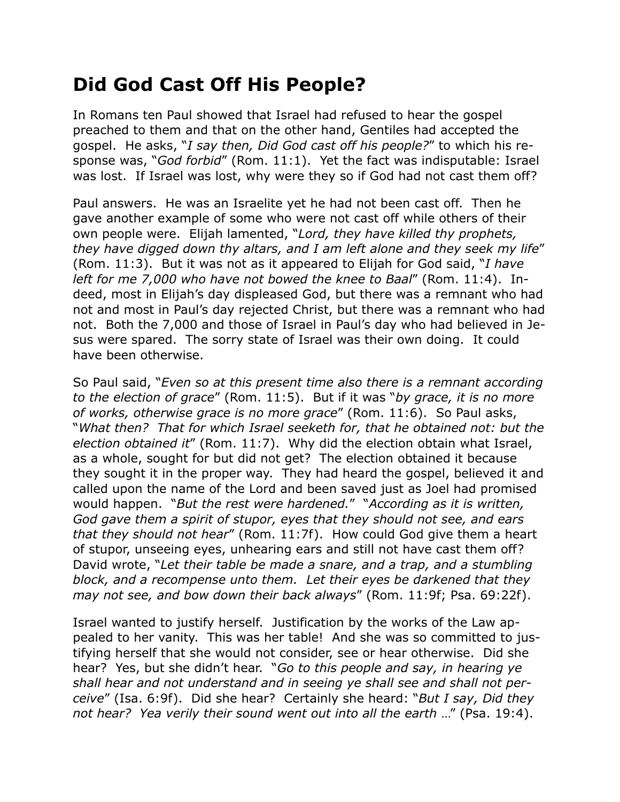## **Did God Cast Off His People?**

In Romans ten Paul showed that Israel had refused to hear the gospel preached to them and that on the other hand, Gentiles had accepted the gospel. He asks, "*I say then, Did God cast off his people?*" to which his response was, "*God forbid*" (Rom. 11:1). Yet the fact was indisputable: Israel was lost. If Israel was lost, why were they so if God had not cast them off?

Paul answers. He was an Israelite yet he had not been cast off. Then he gave another example of some who were not cast off while others of their own people were. Elijah lamented, "*Lord, they have killed thy prophets, they have digged down thy altars, and I am left alone and they seek my life*" (Rom. 11:3). But it was not as it appeared to Elijah for God said, "*I have left for me 7,000 who have not bowed the knee to Baal*" (Rom. 11:4). Indeed, most in Elijah's day displeased God, but there was a remnant who had not and most in Paul's day rejected Christ, but there was a remnant who had not. Both the 7,000 and those of Israel in Paul's day who had believed in Jesus were spared. The sorry state of Israel was their own doing. It could have been otherwise.

So Paul said, "*Even so at this present time also there is a remnant according to the election of grace*" (Rom. 11:5). But if it was "*by grace, it is no more of works, otherwise grace is no more grace*" (Rom. 11:6). So Paul asks, "*What then? That for which Israel seeketh for, that he obtained not: but the election obtained it*" (Rom. 11:7). Why did the election obtain what Israel, as a whole, sought for but did not get? The election obtained it because they sought it in the proper way. They had heard the gospel, believed it and called upon the name of the Lord and been saved just as Joel had promised would happen. "*But the rest were hardened.*" "*According as it is written, God gave them a spirit of stupor, eyes that they should not see, and ears that they should not hear*" (Rom. 11:7f). How could God give them a heart of stupor, unseeing eyes, unhearing ears and still not have cast them off? David wrote, "*Let their table be made a snare, and a trap, and a stumbling block, and a recompense unto them. Let their eyes be darkened that they may not see, and bow down their back always*" (Rom. 11:9f; Psa. 69:22f).

Israel wanted to justify herself. Justification by the works of the Law appealed to her vanity. This was her table! And she was so committed to justifying herself that she would not consider, see or hear otherwise. Did she hear? Yes, but she didn't hear. "*Go to this people and say, in hearing ye shall hear and not understand and in seeing ye shall see and shall not perceive*" (Isa. 6:9f). Did she hear? Certainly she heard: "*But I say, Did they not hear? Yea verily their sound went out into all the earth* …" (Psa. 19:4).